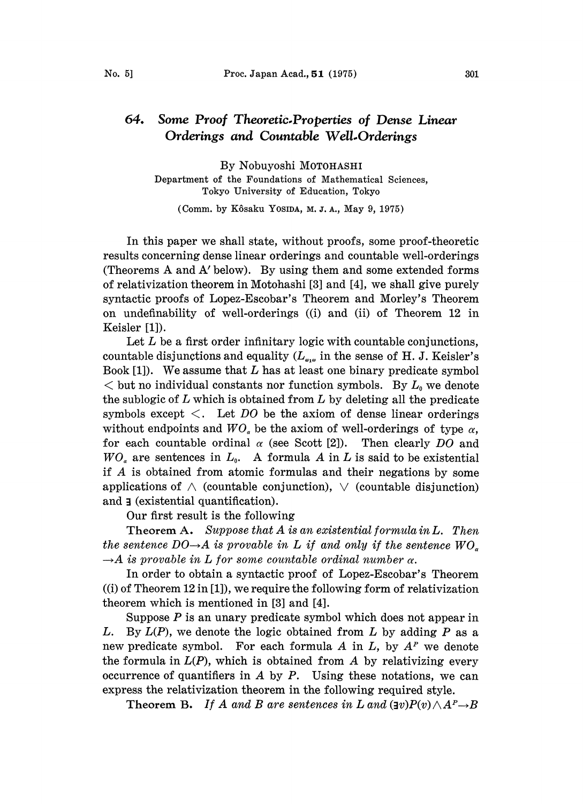## 64. Some Proof Theoretic-Properties of Dense Linear Orderings and Countable Well.Orderings

By Nobuyoshi MOTOHASHI Department of the Foundations of Mathematical Sciences, Tokyo University of Education, Tokyo

(Comm. by Kôsaku Yosida, M. J. A., May 9, 1975)

In this paper we shall state, without proofs, some proof-theoretic results concerning dense linear orderings and countable well-orderings (Theorems A and A' below). By using them and some extended forms of relativization theorem in Motohashi [3] and [4], we shall give purely syntactic proofs of Lopez-Escobar's Theorem and Morley's Theorem on undefinability of well-orderings ((i) and (ii) of Theorem 12 in Keisler [1]).

Let  $L$  be a first order infinitary logic with countable conjunctions, countable disjunctions and equality  $(L_{\bullet,\bullet}$  in the sense of H. J. Keisler's Book  $[1]$ . We assume that L has at least one binary predicate symbol  $<$  but no individual constants nor function symbols. By  $L_0$  we denote the sublogic of  $L$  which is obtained from  $L$  by deleting all the predicate symbols except  $\lt$ . Let DO be the axiom of dense linear orderings without endpoints and  $WO<sub>a</sub>$  be the axiom of well-orderings of type  $\alpha$ , for each countable ordinal  $\alpha$  (see Scott [2]). Then clearly DO and  $WO<sub>a</sub>$  are sentences in  $L<sub>0</sub>$ . A formula A in L is said to be existential if A is obtained from atomic formulas and their negations by some applications of  $\wedge$  (countable conjunction),  $\vee$  (countable disjunction) and **j** (existential quantification).

Our first result is the following

Theorem A. Suppose that  $A$  is an existential formula in  $L$ . Then the sentence  $DO\rightarrow A$  is provable in L if and only if the sentence  $WO_{\sigma}$  $\rightarrow$ A is provable in L for some countable ordinal number  $\alpha$ .

In order to obtain a syntactic proof of Lopez-Escobar's Theorem ((i) of Theorem 12 in [1]), we require the following form of relativization theorem which is mentioned in [3] and [4].

Suppose  $P$  is an unary predicate symbol which does not appear in L. By  $L(P)$ , we denote the logic obtained from L by adding P as a new predicate symbol. For each formula  $A$  in  $L$ , by  $A<sup>P</sup>$  we denote the formula in  $L(P)$ , which is obtained from A by relativizing every occurrence of quantifiers in  $A$  by  $P$ . Using these notations, we can express the relativization theorem in the following required style.

**Theorem B.** If A and B are sentences in L and  $(\exists v)P(v) \wedge A^P \rightarrow B$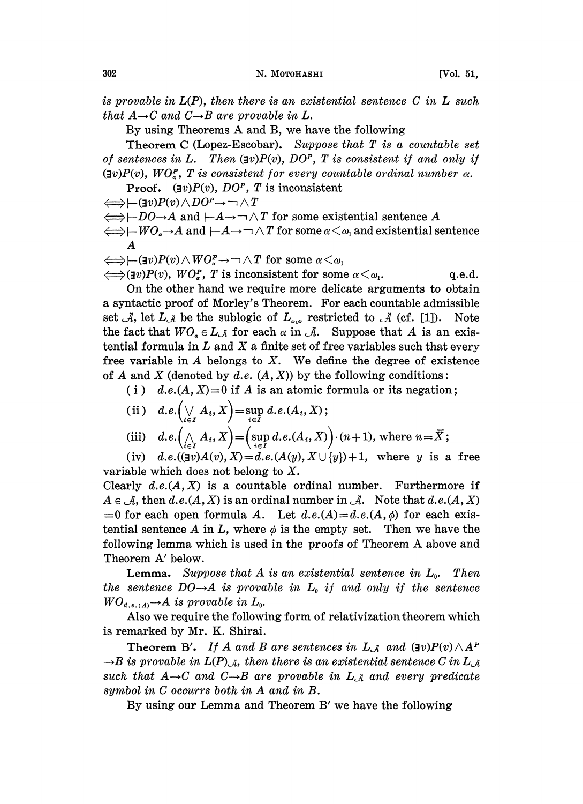is provable in  $L(P)$ , then there is an existential sentence C in L such that  $A\rightarrow C$  and  $C\rightarrow B$  are provable in L.

By using Theorems A and B, we have the following

Theorem C (Lopez-Escobar). Suppose that  $T$  is a countable set of sentences in L. Then  $(\exists v)P(v)$ ,  $DO<sup>p</sup>$ , T is consistent if and only if  $(v)P(v)$ ,  $WO<sub>x</sub><sup>F</sup>$ , T is consistent for every countable ordinal number  $\alpha$ .

**Proof.** (Iv) $P(v)$ ,  $DO<sup>p</sup>$ , T is inconsistent

 $\Longleftrightarrow$   $\leftarrow$   $(\exists v)P(v) \wedge DO^p \rightarrow \neg \wedge T$ 

 $\Longleftrightarrow$  -DO- $\rightarrow$ A and  $\vdash A \rightarrow \neg \land T$  for some existential sentence A

 $\Longleftrightarrow$   $\vdash WO_{a} \rightarrow A$  and  $\vdash A \rightarrow \neg \land T$  for some  $\alpha \leq \omega_1$  and existential sentence A

$$
\Longleftrightarrow \leftarrow (\exists v) P(v) \wedge WO^P_{\alpha} \rightarrow \neg \wedge T \text{ for some } \alpha \leq \omega_1
$$

 $\Longleftrightarrow$  (Iv)P(v), WO<sub>n</sub>, T is inconsistent for some  $\alpha < \omega_1$ . q.e.d.

On the other hand we require more delicate arguments to obtain a syntactic proof of Morley's Theorem. For each countable admissible set A, let  $L_A$  be the sublogic of  $L_{\alpha}$  restricted to A (cf. [1]). Note the fact that  $WO_{\alpha} \in L_{\mathcal{A}}$  for each  $\alpha$  in  $\mathcal{A}$ . Suppose that A is an existential formula in  $L$  and  $X$  a finite set of free variables such that every free variable in  $A$  belongs to  $X$ . We define the degree of existence of A and X (denoted by d.e.  $(A, X)$ ) by the following conditions:

(i) d.e. $(A, X) = 0$  if A is an atomic formula or its negation;

(ii) 
$$
d.e.(\bigvee_{i \in I} A_i, X) = \sup_{i \in I} d.e.(A_i, X);
$$
  
(iii)  $d.e.(\bigwedge_{i \in I} A_i, X) = (\sup_{i \in I} d.e.(A_i, X)) \cdot (n+1)$ , where  $n = \overline{X};$ 

(iv) d.e.(( $\exists v$ ) $A(v)$ ,  $X$ )=d.e.( $A(y)$ ,  $X \cup \{y\}$ )+1, where y is a free variable which does not belong to  $X$ .

Clearly  $d.e.(A, X)$  is a countable ordinal number. Furthermore if  $A \in \mathcal{A}$ , then d.e. $(A, X)$  is an ordinal number in  $\mathcal{A}$ . Note that d.e. $(A, X)$ =0 for each open formula A. Let  $d.e.(A) = d.e.(A, \phi)$  for each existential sentence A in L, where  $\phi$  is the empty set. Then we have the following lemma which is used in the proofs of Theorem A above and Theorem A' below.

**Lemma.** Suppose that A is an existential sentence in  $L_0$ . Then the sentence  $DO\rightarrow A$  is provable in  $L_0$  if and only if the sentence  $WO_{d.e.(A)} \rightarrow A$  is provable in  $L_0$ .

Also we require the following form of relativization theorem which is remarked by Mr. K. Shirai.

Theorem B'. If A and B are sentences in  $L_A$  and  $(\exists v)P(v) \wedge A^P$  $\rightarrow$ B is provable in  $L(P)_{\mathcal A}$ , then there is an existential sentence C in  $L_{\mathcal A}$ such that  $A\rightarrow C$  and  $C\rightarrow B$  are provable in  $L_A$  and every predicate symbol in C occurrs both in A and in B.

By using our Lemma and Theorem B' we have the following